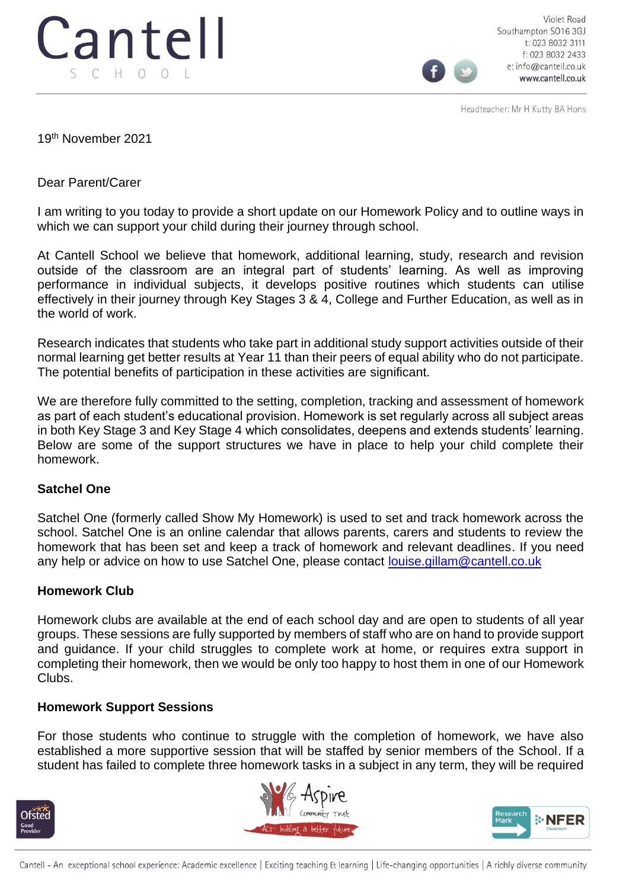

Violet Road Southampton SO16 3GJ t: 023 8032 3111 f: 023 8032 2433 e: info@cantell.co.uk www.cantell.co.uk

Headteacher: Mr H Kutty BA Hons

19th November 2021

Dear Parent/Carer

I am writing to you today to provide a short update on our Homework Policy and to outline ways in which we can support your child during their journey through school.

At Cantell School we believe that homework, additional learning, study, research and revision outside of the classroom are an integral part of students' learning. As well as improving performance in individual subjects, it develops positive routines which students can utilise effectively in their journey through Key Stages 3 & 4, College and Further Education, as well as in the world of work.

Research indicates that students who take part in additional study support activities outside of their normal learning get better results at Year 11 than their peers of equal ability who do not participate. The potential benefits of participation in these activities are significant.

We are therefore fully committed to the setting, completion, tracking and assessment of homework as part of each student's educational provision. Homework is set regularly across all subject areas in both Key Stage 3 and Key Stage 4 which consolidates, deepens and extends students' learning. Below are some of the support structures we have in place to help your child complete their homework.

## **Satchel One**

Satchel One (formerly called Show My Homework) is used to set and track homework across the school. Satchel One is an online calendar that allows parents, carers and students to review the homework that has been set and keep a track of homework and relevant deadlines. If you need any help or advice on how to use Satchel One, please contact [louise.gillam@cantell.co.uk](mailto:louise.gillam@cantell.co.uk)

## **Homework Club**

Homework clubs are available at the end of each school day and are open to students of all year groups. These sessions are fully supported by members of staff who are on hand to provide support and guidance. If your child struggles to complete work at home, or requires extra support in completing their homework, then we would be only too happy to host them in one of our Homework Clubs.

## **Homework Support Sessions**

For those students who continue to struggle with the completion of homework, we have also established a more supportive session that will be staffed by senior members of the School. If a student has failed to complete three homework tasks in a subject in any term, they will be required